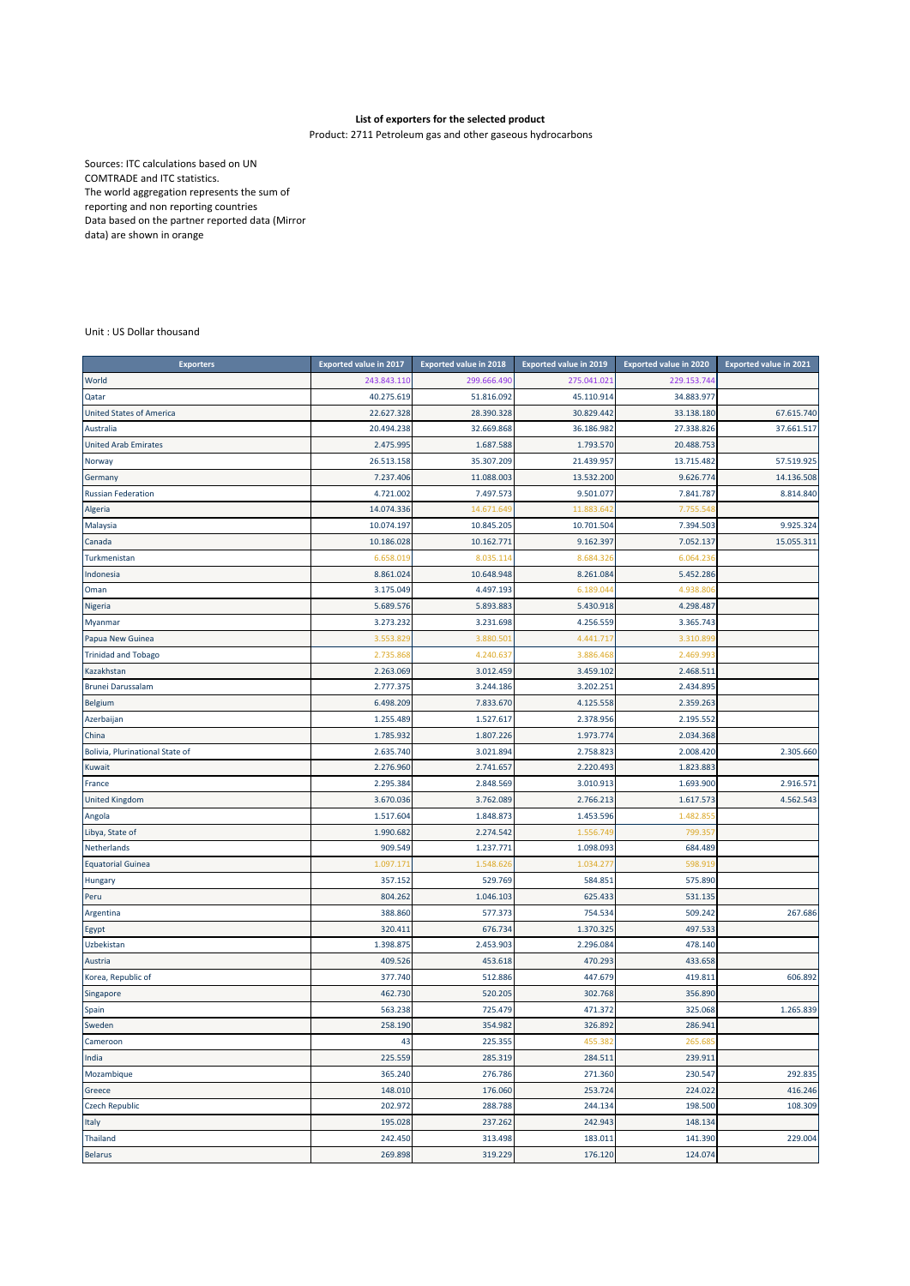## **List of exporters for the selected product**

Product: 2711 Petroleum gas and other gaseous hydrocarbons

Sources: ITC calculations based on UN COMTRADE and ITC statistics. The world aggregation represents the sum of reporting and non reporting countries Data based on the partner reported data (Mirror data) are shown in orange

Unit : US Dollar thousand

| <b>Exporters</b>                | <b>Exported value in 2017</b> | <b>Exported value in 2018</b> | <b>Exported value in 2019</b> | <b>Exported value in 2020</b> | <b>Exported value in 2021</b> |
|---------------------------------|-------------------------------|-------------------------------|-------------------------------|-------------------------------|-------------------------------|
| World                           | 243.843.110                   | 299.666.49                    | 275.041.021                   | 229.153.744                   |                               |
| Qatar                           | 40.275.619                    | 51.816.092                    | 45.110.914                    | 34.883.977                    |                               |
| <b>United States of America</b> | 22.627.328                    | 28.390.328                    | 30.829.442                    | 33.138.180                    | 67.615.740                    |
| Australia                       | 20.494.238                    | 32.669.868                    | 36.186.982                    | 27.338.826                    | 37.661.517                    |
| <b>United Arab Emirates</b>     | 2.475.995                     | 1.687.588                     | 1.793.570                     | 20.488.753                    |                               |
| Norway                          | 26.513.158                    | 35.307.209                    | 21.439.957                    | 13.715.482                    | 57.519.925                    |
| Germany                         | 7.237.406                     | 11.088.003                    | 13.532.200                    | 9.626.774                     | 14.136.508                    |
| <b>Russian Federation</b>       | 4.721.002                     | 7.497.573                     | 9.501.077                     | 7.841.787                     | 8.814.840                     |
| Algeria                         | 14.074.336                    | 14.671.64                     | 11.883.642                    | 7.755.54                      |                               |
| Malaysia                        | 10.074.197                    | 10.845.205                    | 10.701.504                    | 7.394.503                     | 9.925.324                     |
| Canada                          | 10.186.028                    | 10.162.771                    | 9.162.397                     | 7.052.137                     | 15.055.311                    |
| Turkmenistan                    | 6.658.01                      | 8.035.11                      | 8.684.326                     | 6.064.23                      |                               |
| Indonesia                       | 8.861.024                     | 10.648.948                    | 8.261.084                     | 5.452.286                     |                               |
| Oman                            | 3.175.049                     | 4.497.193                     | 6.189.044                     | 4.938.80                      |                               |
| Nigeria                         | 5.689.576                     | 5.893.883                     | 5.430.918                     | 4.298.487                     |                               |
| Myanmar                         | 3.273.232                     | 3.231.698                     | 4.256.559                     | 3.365.743                     |                               |
| Papua New Guinea                | 3.553.82                      | 3.880.50                      | 4.441.717                     | 3.310.899                     |                               |
| <b>Trinidad and Tobago</b>      | 2.735.86                      | 4.240.63                      | 3.886.468                     | 2.469.99                      |                               |
| Kazakhstan                      | 2.263.069                     | 3.012.459                     | 3.459.102                     | 2.468.511                     |                               |
| <b>Brunei Darussalam</b>        | 2.777.375                     | 3.244.186                     | 3.202.251                     | 2.434.895                     |                               |
| <b>Belgium</b>                  | 6.498.209                     | 7.833.670                     | 4.125.558                     | 2.359.263                     |                               |
| Azerbaijan                      | 1.255.489                     | 1.527.617                     | 2.378.956                     | 2.195.552                     |                               |
| China                           | 1.785.932                     | 1.807.226                     | 1.973.774                     | 2.034.368                     |                               |
| Bolivia, Plurinational State of | 2.635.740                     | 3.021.894                     | 2.758.823                     | 2.008.420                     | 2.305.660                     |
| Kuwait                          | 2.276.960                     | 2.741.657                     | 2.220.493                     | 1.823.883                     |                               |
| France                          | 2.295.384                     | 2.848.569                     | 3.010.913                     | 1.693.900                     | 2.916.571                     |
| <b>United Kingdom</b>           | 3.670.036                     | 3.762.089                     | 2.766.213                     | 1.617.573                     | 4.562.543                     |
| Angola                          | 1.517.604                     | 1.848.873                     | 1.453.596                     | 1.482.85                      |                               |
| Libya, State of                 | 1.990.682                     | 2.274.542                     | 1.556.749                     | 799.357                       |                               |
| Netherlands                     | 909.549                       | 1.237.771                     | 1.098.093                     | 684.489                       |                               |
| <b>Equatorial Guinea</b>        | 1.097.17                      | 1.548.626                     | 1.034.27                      | 598.91                        |                               |
| Hungary                         | 357.152                       | 529.769                       | 584.851                       | 575.890                       |                               |
| Peru                            | 804.262                       | 1.046.103                     | 625.433                       | 531.135                       |                               |
| Argentina                       | 388.860                       | 577.373                       | 754.534                       | 509.242                       | 267.686                       |
| Egypt                           | 320.411                       | 676.734                       | 1.370.325                     | 497.533                       |                               |
| Uzbekistan                      | 1.398.875                     | 2.453.903                     | 2.296.084                     | 478.140                       |                               |
| Austria                         | 409.526                       | 453.618                       | 470.293                       | 433.658                       |                               |
| Korea, Republic of              | 377.740                       | 512.886                       | 447.679                       | 419.811                       | 606.892                       |
| Singapore                       | 462.730                       | 520.205                       | 302.768                       | 356.890                       |                               |
| Spain                           | 563.238                       | 725.479                       | 471.372                       | 325.068                       | 1.265.839                     |
| Sweden                          | 258.190                       | 354.982                       | 326.892                       | 286.941                       |                               |
| Cameroon                        | 43                            | 225.355                       | 455.382                       | 265.68                        |                               |
| India                           | 225.559                       | 285.319                       | 284.511                       | 239.911                       |                               |
| Mozambique                      | 365.240                       | 276.786                       | 271.360                       | 230.547                       | 292.835                       |
| Greece                          | 148.010                       | 176.060                       | 253.724                       | 224.022                       | 416.246                       |
| <b>Czech Republic</b>           | 202.972                       | 288.788                       | 244.134                       | 198.500                       | 108.309                       |
| Italy                           | 195.028                       | 237.262                       | 242.943                       | 148.134                       |                               |
| <b>Thailand</b>                 | 242.450                       | 313.498                       | 183.011                       | 141.390                       | 229.004                       |
| <b>Belarus</b>                  | 269.898                       | 319.229                       | 176.120                       | 124.074                       |                               |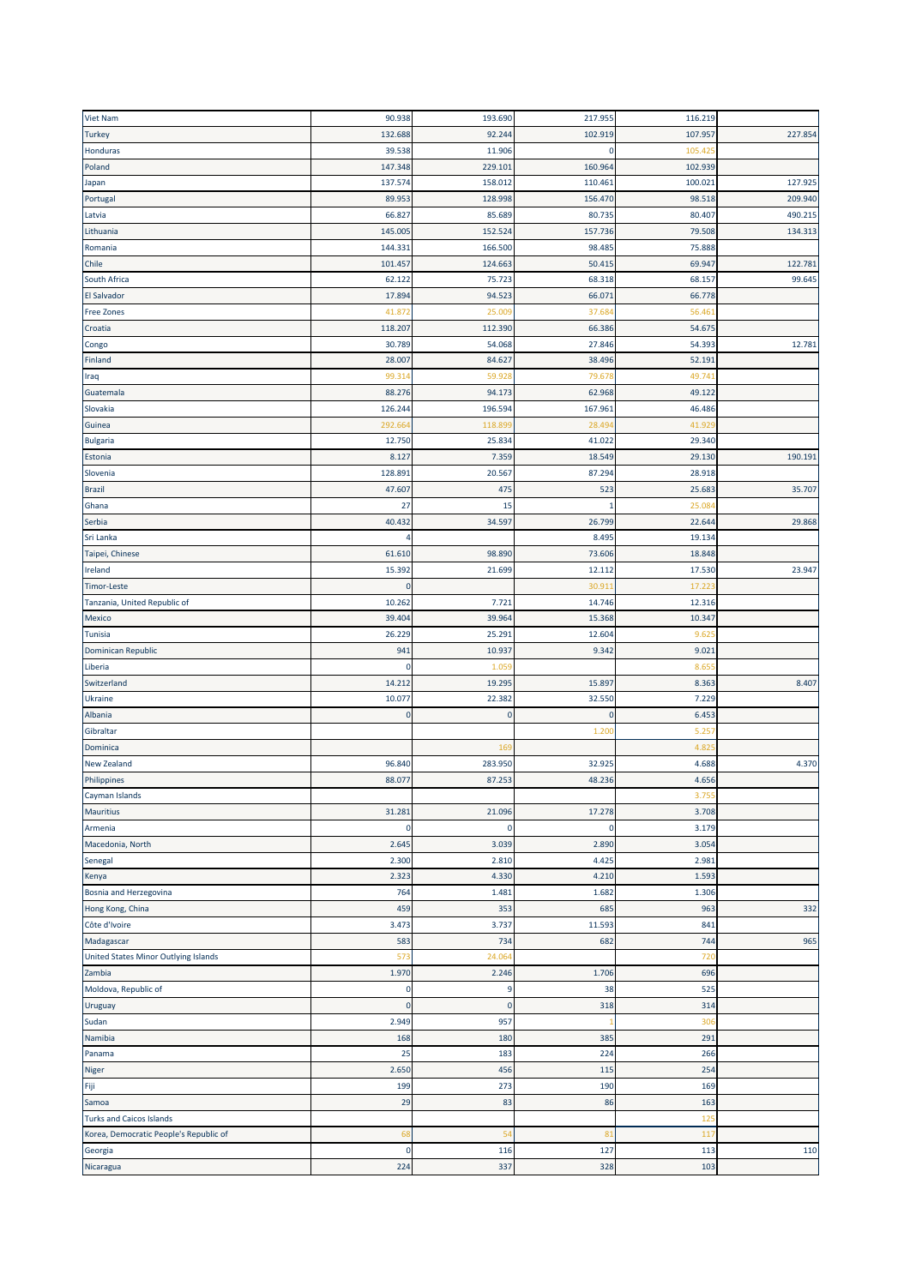| <b>Viet Nam</b>                        | 90.938      | 193.690     | 217.955      | 116.219 |         |
|----------------------------------------|-------------|-------------|--------------|---------|---------|
| <b>Turkey</b>                          | 132.688     | 92.244      | 102.919      | 107.957 | 227.854 |
| Honduras                               | 39.538      | 11.906      | 0            | 105.42  |         |
| Poland                                 | 147.348     | 229.101     | 160.964      | 102.939 |         |
| Japan                                  | 137.574     | 158.012     | 110.461      | 100.021 | 127.925 |
| Portugal                               | 89.953      | 128.998     | 156.470      | 98.518  | 209.940 |
| Latvia                                 | 66.827      | 85.689      | 80.735       | 80.407  | 490.215 |
| Lithuania                              | 145.005     | 152.524     | 157.736      | 79.508  | 134.313 |
| Romania                                | 144.331     | 166.500     | 98.485       | 75.888  |         |
| Chile                                  | 101.457     | 124.663     | 50.415       | 69.947  | 122.781 |
| South Africa                           | 62.122      | 75.723      | 68.318       | 68.157  | 99.645  |
| <b>El Salvador</b>                     | 17.894      | 94.523      | 66.071       | 66.778  |         |
| <b>Free Zones</b>                      | 41.87       | 25.00       | 37.684       | 56.46   |         |
| Croatia                                | 118.207     | 112.390     | 66.386       | 54.675  |         |
| Congo                                  | 30.789      | 54.068      | 27.846       | 54.393  | 12.781  |
| Finland                                | 28.007      | 84.627      | 38.496       | 52.191  |         |
| Iraq                                   | 99.31       | 59.92       | 79.678       | 49.74   |         |
| Guatemala                              | 88.276      | 94.173      | 62.968       | 49.122  |         |
|                                        | 126.244     | 196.594     | 167.961      | 46.486  |         |
| Slovakia                               |             |             |              |         |         |
| Guinea                                 | 292.66      | 118.89      | 28.49        | 41.92   |         |
| <b>Bulgaria</b>                        | 12.750      | 25.834      | 41.022       | 29.340  |         |
| Estonia                                | 8.127       | 7.359       | 18.549       | 29.130  | 190.191 |
| Slovenia                               | 128.891     | 20.567      | 87.294       | 28.918  |         |
| <b>Brazil</b>                          | 47.607      | 475         | 523          | 25.683  | 35.707  |
| Ghana                                  | 27          | 15          | $\mathbf{1}$ | 25.08   |         |
| Serbia                                 | 40.432      | 34.597      | 26.799       | 22.644  | 29.868  |
| Sri Lanka                              |             |             | 8.495        | 19.134  |         |
| Taipei, Chinese                        | 61.610      | 98.890      | 73.606       | 18.848  |         |
| Ireland                                | 15.392      | 21.699      | 12.112       | 17.530  | 23.947  |
| <b>Timor-Leste</b>                     | $\mathbf 0$ |             | 30.911       | 17.22   |         |
| Tanzania, United Republic of           | 10.262      | 7.721       | 14.746       | 12.316  |         |
| <b>Mexico</b>                          | 39.404      | 39.964      | 15.368       | 10.347  |         |
| <b>Tunisia</b>                         | 26.229      | 25.291      | 12.604       | 9.62!   |         |
| Dominican Republic                     | 941         | 10.937      | 9.342        | 9.021   |         |
| Liberia                                | 0           | 1.05        |              | 8.65    |         |
| Switzerland                            | 14.212      | 19.295      | 15.897       | 8.363   | 8.407   |
| Ukraine                                | 10.077      | 22.382      | 32.550       | 7.229   |         |
| Albania                                | $\mathbf 0$ | 0           | 0            | 6.453   |         |
| Gibraltar                              |             |             | 1.200        | 5.25    |         |
| Dominica                               |             | 169         |              | 4.82    |         |
| <b>New Zealand</b>                     | 96.840      | 283.950     | 32.925       | 4.688   | 4.370   |
| Philippines                            | 88.077      | 87.253      | 48.236       | 4.656   |         |
| Cayman Islands                         |             |             |              | 3.75    |         |
| <b>Mauritius</b>                       | 31.281      | 21.096      | 17.278       | 3.708   |         |
| Armenia                                | 0           | 0           | 0            | 3.179   |         |
| Macedonia, North                       | 2.645       | 3.039       | 2.890        | 3.054   |         |
| Senegal                                | 2.300       | 2.810       | 4.425        | 2.981   |         |
| Kenya                                  | 2.323       | 4.330       | 4.210        | 1.593   |         |
| <b>Bosnia and Herzegovina</b>          | 764         | 1.481       | 1.682        | 1.306   |         |
| Hong Kong, China                       | 459         | 353         | 685          | 963     | 332     |
| Côte d'Ivoire                          | 3.473       | 3.737       | 11.593       | 841     |         |
| Madagascar                             | 583         | 734         | 682          | 744     | 965     |
| United States Minor Outlying Islands   | 573         | 24.064      |              | 720     |         |
|                                        |             |             |              |         |         |
| Zambia                                 | 1.970       | 2.246       | 1.706        | 696     |         |
| Moldova, Republic of                   | 0           | 9           | 38           | 525     |         |
| Uruguay                                | 0           | $\mathbf 0$ | 318          | 314     |         |
| Sudan                                  | 2.949       | 957         | -1           | 306     |         |
| Namibia                                | 168         | 180         | 385          | 291     |         |
| Panama                                 | 25          | 183         | 224          | 266     |         |
| Niger                                  | 2.650       | 456         | 115          | 254     |         |
| Fiji                                   | 199         | 273         | 190          | 169     |         |
| Samoa                                  | 29          | 83          | 86           | 163     |         |
| <b>Turks and Caicos Islands</b>        |             |             |              | 125     |         |
| Korea, Democratic People's Republic of | 68          | 54          | 81           | 117     |         |
| Georgia                                | $\pmb{0}$   | 116         | 127          | 113     | 110     |
| Nicaragua                              | 224         | 337         | 328          | 103     |         |